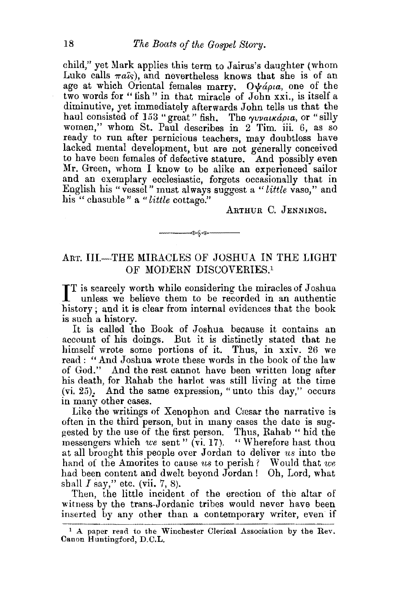child," yet Mark applies this term to Jairus's daughter (whom Luke calls  $\pi a\hat{i}s$ , and nevertheless knows that she is of an age at which Oriental females marry. Ovapia, one of the two words for "fish" in that miracle of John xxi., is itself a diminutive, yet immediately afterwards John tells us that the haul consisted of 153 "great" fish. The  $\gamma v$ vaikapia, or "silly women," whom St. Paul describes in 2 Tim. iii. 6, as so ready to run after pernicious teachers, may doubtless have lacked mental development, but are not generally conceived to have been females of defective stature. And possibly even Mr. Green, whom I know to be alike an experienced sailor and an exemplary ecclesiastic, forgets occasionally that in English his "vessel" must always suggest a *"little* vase," and his " chasuble " a "little cottage."

ARTHUR C. JENNINGS.

## ART. III.-THE MIRACLES OF JOSHUA IN THE LIGHT OF MODERN DISCOVERIES.<sup>1</sup>

-≫\$-⊗—

IT is scarcely worth while considering the miracles of Joshua<br>unless we believe them to be recorded in an authentic unless we believe them to be recorded in an authentic bistory; and it is clear from internal evidences that the book is such a history.

It is called the Book of Joshua because it contains an account of his doings. But it is distinctly stated that he himself wrote some portions of it. Thus, in xxiv. 26 we read: "And Joshua wrote these words in the book of the law of God." And the rest cannot have been written long after his death, for Rahab the harlot was still living at the time  $(vi. 25)$ . And the same expression, "unto this day," occurs in many other cases.

Like the writings of Xenophon and Cresar the narrative is often in the third person, but in many cases the date is suggested by the use of the first person. Thus, Rahab " hid the messengers which *we* sent" (vi. 17}. "Wherefore hast thou at all brought this people over Jordan to deliver *ns* into the hand of the Amorites to cause us to perish? Would that we had been content and dwelt beyond Jordan! Oh, Lord, what shall  $I$  say," etc. (vii. 7, 8).

Then, the little incident of the erection of the altar of witness by the trans-Jordanic tribes would never have been inserted by any other than a contemporary writer, even if

<sup>&</sup>lt;sup>1</sup> A paper read to the Winchester Clerical Association by the Rev. Canon Huntingford, D.C.L.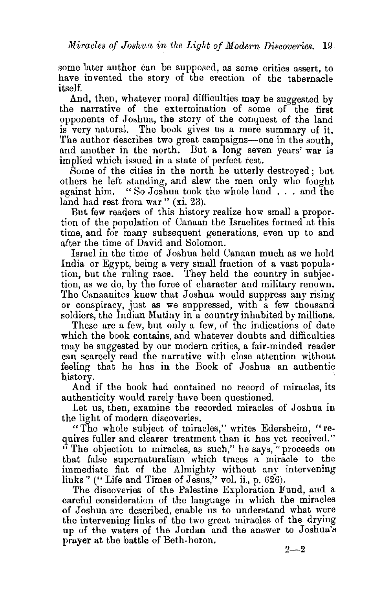some later author can be supposed, as some critics assert, to have invented the story of the erection of the tabernacle itself.

And, then, whatever moral difficulties may be suggested by the narrative of the extermination of some of the first opponents of Joshua, the story of the conquest of the land is very natural. The book gives us a mere summary of it. The author describes two great campaigns-one in the south, and another in the north. But a long seven years' war is implied which issued in a state of perfect rest.

Some of the cities in the north he utterly destroyed; but others he left standing, and slew the men only who fought against him. "So Joshua took the whole land ... and the land had rest from war " (xi. 23).

But few readers of this history realize how small a proportion of the population of Canaan the Israelites formed at this time, and for many subsequent generations, even up to and after the time of David and Solomon.

Israel in the time of Joshua held Canaan much as we hold India or Egypt, being a very small fraction of a vast population, but the ruling race. They held the country in subjection, as we do, by the force of character and military renown. The Canaanites knew that Joshua would suppress any rising or conspiracy, just as we suppressed, with a few thousand soldiers, the Indian Mutiny in a country inhabited by millions.

These are a few, but only a few, of the indications of date which the book contains, and whatever doubts and difficulties may be suggested by our modern critics, a fair-minded reader can scarcely read the narrative with close attention without feeling that he has in the Book of Joshua an authentic history.

And if the book had contained no record of miracles, its authenticity would rarely have been questioned.

Let us, then, examine the recorded miracles of Joshua in the light of modern discoveries.

"The whole subject of miracles," writes Edersheim, "requires fuller and clearer treatment than it has yet received." " The objection to miracles, as such," he says, "proceeds on that false supernaturalism which traces a miracle to the immediate fiat of the Almighty without any intervening links" ("Life and Times of Jesus," vol. ii., p. 626).

The discoveries of the Palestine Exploration Fund, and a careful consideration of the language in which the miracles of Joshua are described, enable us to understand what were the intervening links of the two great miracles of the drying up of the waters of the Jordan and the answer to Joshua's prayer at the battle of Beth-boron.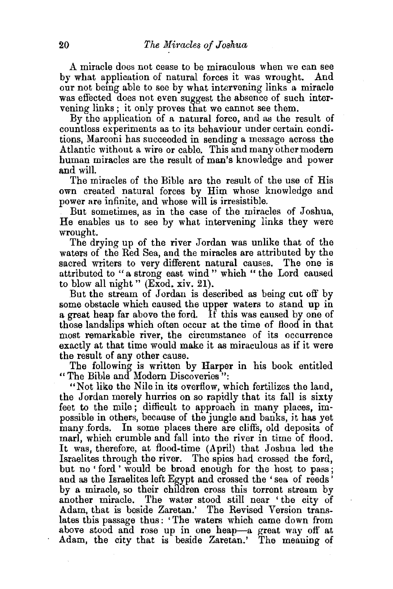A miracle does not cease to be miraculous when we can see<br>what application of natural forces it was wrought. And by what application of natural forces it was wrought. our not being able to see by what intervening links a miracle was effected does not even suggest the absence of such intervening links ; it only proves that we cannot see them.

By the application of a natural force, and as the result of countless experiments as to its behaviour under certain conditions, Marconi has succeeded in sending a message across the Atlantic without a wire or cable. This and many other modern human miracles are the result of man's knowledge and power and will.

The miracles of the Bible are the result of the use of His own created natural forces by Him whose knowledge and power are infinite, and whose will is irresistible.

But sometimes, as in the case of the miracles of Joshua, He enables us to see by what intervening links they were wrought.

The drying up of the river Jordan was unlike that of the waters of the Red Sea, and the miracles are attributed by the sacred writers to very different natural causes. The one is attributed to "a strong east wind" which "the Lord caused to blow all night" (Exod. xiv. 21).

But the stream of Jordan is described as being cut off' by some obstacle which caused the upper waters to stand up in a great heap far above the ford. If this was caused by one of those landslips which often occur at the time of flood in that most remarkable river, the circumstance of its occurrence exactly at that time would make it as miraculous as if it were the result of any other cause.

The following is written by Harper in his book entitled "The Bible and Modern Discoveries":

"Not like the Nile in its overflow, which fertilizes the land, the Jordan merely hurries on so rapidly that its fall is sixty feet to the mile ; difficult to approach in many places, impossible in others, because of the jungle and banks, it has yet many fords. In some places there are cliffs, old deposits of In some places there are cliffs, old deposits of marl, which crumble and fall into the river in time of flood. It was, therefore, at flood-time (April) that Joshua led the Israelites through the river. The spies had crossed the ford, but no 'ford ' would be broad enough for the host to pass; and as the Israelites left Egypt and crossed the 'sea of reeds' by a miracle, so their children cross this torrent stream by another miracle. The water stood still near 'the city of Adam, that is beside Zaretan.' The Revised Version translates this passage thus: 'The waters which came down from above stood and rose up in one heap-a great way off at Adam, the city that is beside Zaretan.' The meaning of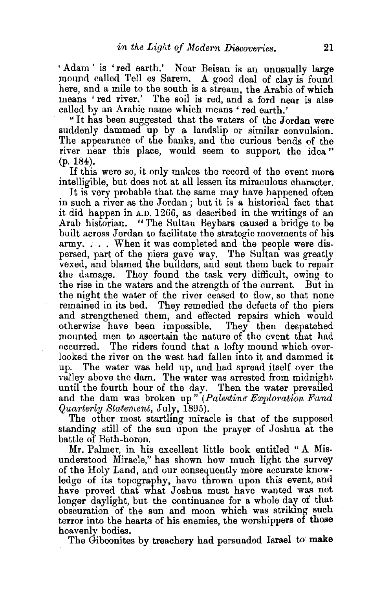'Adam' is 'red earth.' Near Beisan is an unusually large mound called Tell es Sarem. A good deal of clay is found here, and a mile to the south is a stream, the Arabic of which means 'red river.' The soil is red, and a ford near is alse called by an Arabic name which means' red earth.'

"It has been suggested that the waters of the Jordan were suddenly dammed up by a landslip or similar convulsion. The appearance of the banks, and the curious bends of the river near this place, would seem to support the idea " (p. 184).

If this were so, it only makes the record of the event more intelligible, but does not at all lessen its miraculous character.

It is very probable that the same may have happened often in such a river as the Jordan; but it is a historical fact that it did happen in A.D. 1266, as described in the writings of an Arab historian. "The Sultan Bey bars caused a bridge to be built across Jordan to facilitate the strategic movements of his army. ; .. When it was completed and the people were dispersed, part of the piers gave way. The Sultan was greatly vexed, and blamed the builders, and sent them back to repair the damage. They found the task very difficult, owing to the rise in the waters and the strength of the current. But in the night the water of the river ceased to flow, so that none remained in its bed. They remedied the defects of the piers and strengthened them, and effected repairs which would otherwise have been impossible. They then despatched otherwise have been impossible. mounted men to ascertain the nature of the event that had occurred. The riders found that a lofty mound which overlooked the river on the west had fallen into it and dammed it up. The water was held up, and had spread itself over the valley above the dam. The water was arrested from midnight until the fourth hour of the day. Then the water prevailed and the dam was broken up" *(Palestine- Ewploration Fund Quarterly Staternent,* July, 1895).

The other most startling miracle is that of the supposed standing still of the sun upon the prayer of Joshua at the battle of Beth-boron.

Mr. Palmer, in his excellent little book entitled "A Misunderstood Miracle," has shown how much light the survey of the Holy Land, and our consequently more accurate knowledge of its topography, have thrown upon this event, and have proved that what Joshua must have wanted was not longer daylight, but the continuance for a whole day of that obscuration of the sun and moon which was striking such terror into the hearts of his enemies, the worshippers of those

heavenly bodies. . The Gibeonites by treachery had persuaded Israel to **make**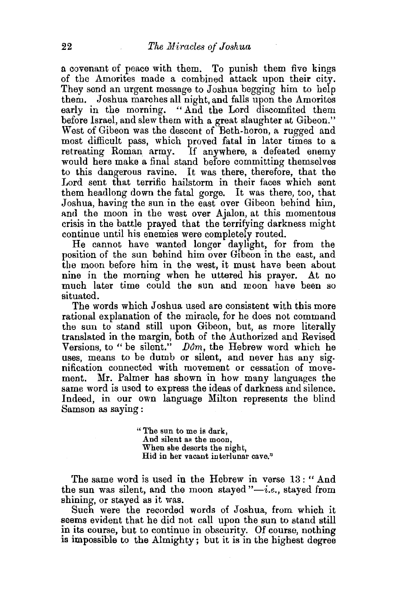n covenant of peace with them. To punish them five kings of the Amorites made a combined attack upon their city. They send an urgent message to Joshua begging him to help them. Joshua marches all night, and falls upon the Amorites early in the morning. "And the Lord discomfited them before Israel, and slew them with a great slaughter at Gibeon." West of Gibeon was the descent of Beth-horon, a rugged and most difficult pass, which proved fatal in later times to a retreating Roman army. If anywhere, a defeated enemy would here make a final stand before committing themselves to this dangerous ravine. It was there, therefore, that the Lord sent that terrific hailstorm in their faces which sent them headlong down the fatal gorge. It was there, too, that Joshua, having the sun in the east over Gibeon behind him, and the moon in the west over Ajalon, at this momentous crisis in the battle prayed that the terrifying darkness might continue until his enemies were completely routed.

He cannot have wanted longer daylight, for from the position of the sun behind him over Gibeon in the east, and the moon before him in the west, it must have been about nine in the morning when he uttered his prayer. At no much later time could the sun and moon have been so situated.

The words which Joshua used are consistent with this more rational explanation of the miracle, for he does not command the sun to stand still upon Gibeon, but, as more literally translated in the margin, both of the Authorized and Revised Versions, to "be silent."  $D\hat{o}m$ , the Hebrew word which he uses, means to be dumb or silent, and never has any sig. nification connected with movement or cessation of movement. Mr. Palmer has shown in how many languages the same word is used to express the ideas of darkness and silence. Indeed, in our own language Milton represents the blind Samson as saying :

> "The sun to me is dark, And silent as the moon, When she deserts the night, Hid in her vacant interlunar cave."

The same word is used in the Hebrew in verse 13 : " And the sun was silent, and the moon stayed  $"-i.e.,$  stayed from shining, or stayed as it was.

Such were the recorded words of Joshua, from which it seems evident that he did not call upon the sun to stand still in its course, but to continue in obscurity. Of course, nothing is impossible to the Almighty; but it is in the highest degree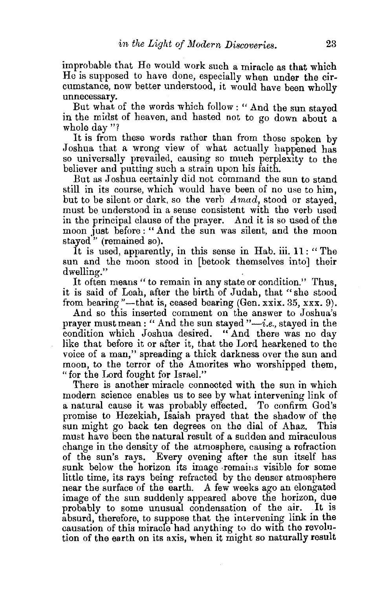improbable that He would work such a miracle as that which He is supposed to have done, especially when under the circumstance, now better understood, it would have been wholly unnecessary.

But what of the words which follow : " And the sun stayed in the midst of heaven, and hasted not to go down about a whole day "?

It is from these words rather than from those spoken by Joshua that a wrong view of what actually happened has so universally prevailed, causing so much perplexity to the believer and putting such a strain upon his faith.

But as Joshua certainly did not command the sun to stand still in its course, which would have been of no use to him, but to be silent or dark, so the verb *A mad,* stood or stayed, must be understood in a sense consistent with the verb used in the principal clause of the prayer. And it is so used of the moon just before:" And the sun was silent, and the moon stayed'' (remained so).

It is used, apparently, in this sense in Hab. iii. 11 : " The sun and the moon stood in [betook themselves into] their

dwelling."<br>It often means " to remain in any state or condition." Thus, it is said of Leah, after the birth of Judah, that "she stood from bearing "---that is, ceased bearing (Gen. xxix. 35, xxx. 9).

And so this inserted comment on the answer to Joshua's prayer must mean: " And the sun stayed "-*i.e.*, stayed in the condition which Joshua desired. "And there was no day like that before it or after it, that the Lord hearkened to the voice of a man," spreading a thick darkness over the sun and moon, to the terror of the Amorites who worshipped them, "for the Lord fought for Israel."

There is another miracle connected with the sun in which modern science enables us to see by what intervening link of a natural cause it was probably effected. To confirm God's promise to Hezekiah, Isaiah prayed that the shadow of the sun might go back ten degrees on the dial of Ahaz. This must have been the natural result of a sudden and miraculous change in the density of the atmosphere, causing a refraction of the sun's rays. Every evening after the sun itself has sunk below the horizon its image remains visible for some little time, its rays being refracted by the denser atmosphere near the surface of the earth. A few weeks ago an elongated image of the sun suddenly appeared above the horizon, due probably to some unusual condensation of the air. absurd, therefore, to suppose that the intervening link in the causation of this miracle had anything to do with the revolution of the earth on its axis, when it might so naturally result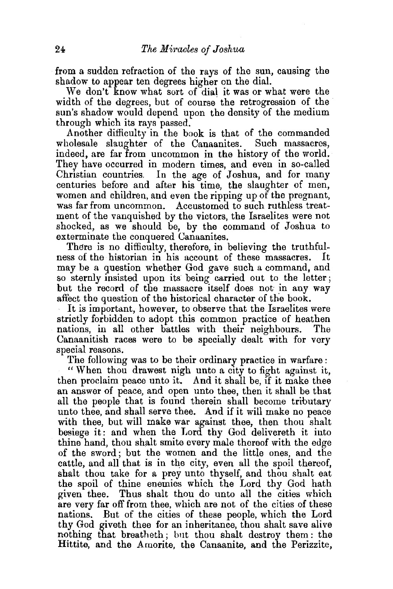from a sudden refraction of the rays of the sun, causing the shadow to appear ten degrees higher on the dial.

We don't know what sort of dial it was or what were the width of the degrees, but of course the retrogression of the sun's shadow would depend upon the density of the medium through which its rays passed.

Another difficulty in the book is that of the commanded wholesale slaughter of the Canaanites. Such massacres, indeed, are far from uncommon in the history of the world. They have occurred in modern times, and even in so-called Christian countries. In the age of Joshua, and for many centuries before and after his time, the slaughter of men, women and children, and even the ripping up of the pregnant, was far from uncommon. Accustomed to such ruthless treatment of the vanquished by the victors, the Israelites were not shocked, as we should be, by the command of Joshua to exterminate the conquered Canaanites.

There is no difficulty, therefore, in believing the truthfulness of the historian in his account of these massacres. It may be a question whether God gave such a command, and so sternly insisted upon its being carried out to the letter; but the record of the massacre itself does not in any way affect the question of the historical character of the book.

It is important, however, to observe that the Israelites were strictly forbidden to adopt this common practice of heathen nations, in all other battles with their neighbours. The Canaanitish races were to be specially dealt with for very special reasons.

The following was to be their ordinary practice in warfare :

" When thou drawest nigh unto a city to fight against it, then proclaim peace unto it. And it shall be, if it make thee an answer of peace, and open unto thee, then it shall be that all the people that is found therein shall become tributary unto thee, and shall serve thee. And if it will make no peace with thee, but will make war against thee, then thou shalt besiege it: and when the J.ord thy God delivereth it into thine hand, thou shalt smite every male thereof with the edge of the sword; but the women and the little ones, and the cattle, and all that is in the city, even all the spoil thereof, shalt thou take for a prey unto thyself, and thou shalt eat the spoil of thine enemies which the Lord thy God hath given thee. Thus shalt thou do unto all the cities which are very far off from thee, which are not of the cities of these nations. But of the cities of these people, which the Lord thy God giveth thee for an inheritance, thou shalt save alive nothing that breatheth ; but thou shalt destroy them: the Hittite, and the Amorite, the Canaanite, and the Perizzite,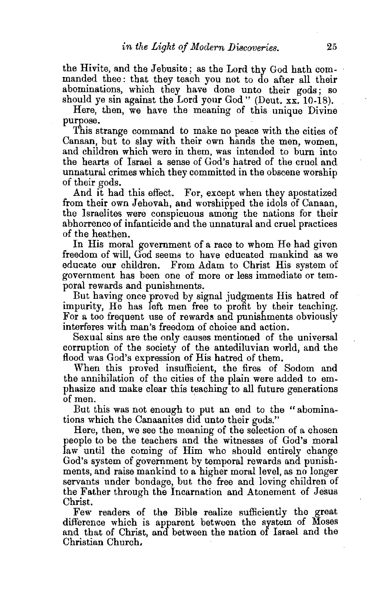the Hivite, and the Jebusite; as the Lord thy God hath commanded thee : that they teach you not to do after all their abominations, which they have done unto their gods; so should ye sin against the Lord your God" (Deut. xx. 10-18).

Here, then, we have the meaning of this unique Divine purpose. .

This strange command to make no peace with the cities of Canaan, but to slay with their own hands the men, women, and children which were in them, was intended to burn into the hearts of Israel a sense of God's hatred of the cruel and unnatural crimes which they committed in the obscene worship of their gods.

And it had this eflect. For, except when they apostatized from their own Jehovah, and worshipped the idols of Canaan, the Israelites were conspicuous among the nations for their abhorrence of infanticide and the unnatural and cruel practices of the heathen.

In His moral government of a race to whom He had given freedom of will, God seems to have educated mankind as we educate our children. From Adam to Christ His system of government has been one of more or less immediate or temporal rewards and punishments.

But having once proved by signal judgments His hatred of impurity, He has left men free to profit by their teaching. For a too frequent use of rewards and punishments obviously interferes with man's freedom of choice and action.

Sexual sins are the only causes mentioned of the universal corruption of the society of the antediluvian world, and the flood was God's expression of His hatred of them.

When this proved insufficient, the fires of Sodom and the annihilation of the cities of the plain were added to emphasize and make clear this teaching to all future generations of men.

But this was not enough to put an end to the "abominations which the Canaanites did unto their gods."

Here, then, we see the meaning of the selection of a chosen people to be the teachers and the witnesses of God's moral law until the coming of Him who should entirely change God's system of government by temporal rewards and punishments, and raise mankind to a higher moral level, as no longer servants under bondage, but the free and loving children of the Father through the Incarnation and Atonement of Jesus Christ.

Few readers of the Bible realize sufficiently the great difference which is apparent between the system of Moses and that of Christ, and between the nation of Israel and the Christian Church,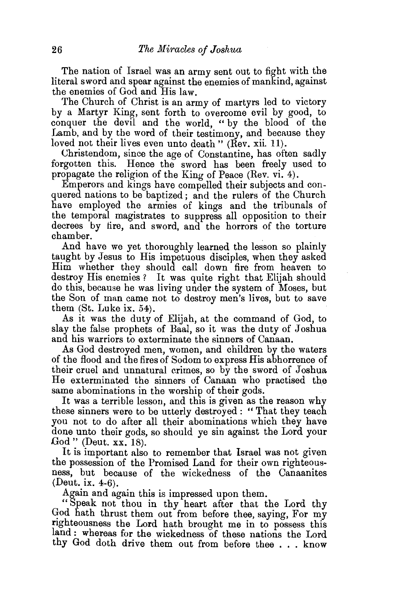The nation of Israel was an army sent out to fight with the literal sword and spear against the enemies of mankind, against the enemies of God and His law.

The Church of Christ is an army of martyrs led to victory by a Martyr King, sent forth to overcome evil by good, to conquer the devil and the world, "by the blood of the Lamb, and by the word of their testimony, and because they loved not their lives even unto death " (Rev. xii. 11).

Christendom, since the age of Constantine, has often sadly forgotten this. Hence the sword has been freely used to propagate the religion of the King of Peace (Rev. vi. 4).

Emperors and kings have compelled their subjects and conquered nations to be baptized; and the rulers of the Church have employed the armies of kings and the tribunals of the temporal magistrates to suppress all opposition to their decrees by tire, and sword, and the horrors of the torture chamber.

And have we yet thoroughly learned the lesson so plainly taught by Jesus to His impetuous disciples, when they asked Him whether they should call down fire from heaven to destroy His enemies ? It was quite right that Elijah should do this, because he was living under the system of Moses, but the Son of man came not to destroy men's lives, but to save them (St. Luke ix. 54).

As it was the duty of Elijah, at the command of God, to slay the false prophets of Baal, so it was the duty of Joshua and his warriors to exterminate the sinners of Canaan.

As God destroyed men, women, and children by the waters of the flood and the fires of Sodom to express His abhorrence of their cruel and unnatural crimes, so by the sword of Joshua He exterminated the sinners of Canaan who practised the same abominations in the worship of their gods.

It was a terrible lesson, and this is given as the reason why these sinners were to be utterly destroyed: "That they teach you not to do after all their abominations which they have done unto their gods, so should ye sin against the Lord your God " (Deut. xx. 18).

It is important also to remember that Israel was not given the possession of the Promised Land for their own righteousness, but because of the wickedness of the Canaanites (Deut. ix. 4-6).

Again and again this is impressed upon them.

"Speak not thou in thy heart after that the Lord thy God hath thrust them out from before thee, saying, For my righteousness the Lord hath brought me in to possess this land : whereas for the wickedness of these nations the Lord thy God doth drive them out from before thee ... know